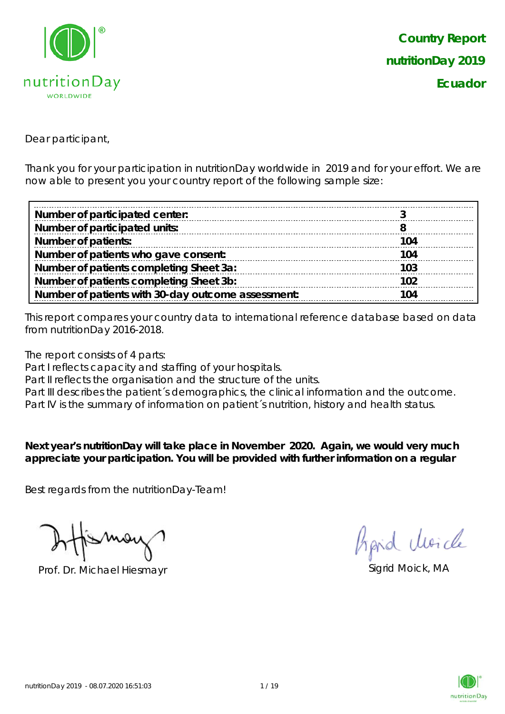

Dear participant,

Thank you for your participation in nutritionDay worldwide in 2019 and for your effort. We are now able to present you your country report of the following sample size:

| Number of participated center:                     |     |
|----------------------------------------------------|-----|
|                                                    |     |
| Number of participated units:                      |     |
| <b>Number of patients:</b>                         | 104 |
| Number of patients who gave consent:               | 104 |
| Number of patients completing Sheet 3a:            | 103 |
| Number of patients completing Sheet 3b:            | 102 |
| Number of patients with 30-day outcome assessment: | 104 |

This report compares your country data to international reference database based on data from nutritionDay 2016-2018.

The report consists of 4 parts:

Part I reflects capacity and staffing of your hospitals.

Part II reflects the organisation and the structure of the units.

Part III describes the patient's demographics, the clinical information and the outcome.

Part IV is the summary of information on patient´s nutrition, history and health status.

**Next year's nutritionDay will take place in November 2020. Again, we would very much appreciate your participation. You will be provided with further information on a regular** 

Best regards from the nutritionDay-Team!

Prof. Dr. Michael Hiesmayr Sigrid Moick, MA

Aprid Moich

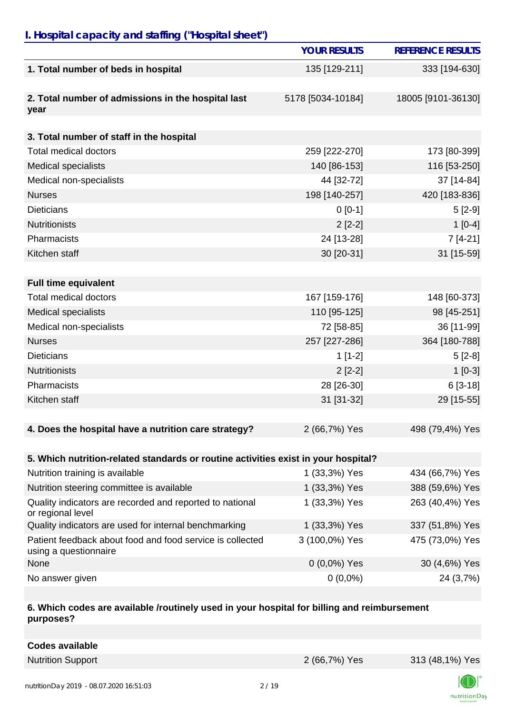## *I. Hospital capacity and staffing ("Hospital sheet")*

|                                                                                    | <b>YOUR RESULTS</b> | <b>REFERENCE RESULTS</b> |
|------------------------------------------------------------------------------------|---------------------|--------------------------|
| 1. Total number of beds in hospital                                                | 135 [129-211]       | 333 [194-630]            |
| 2. Total number of admissions in the hospital last<br>year                         | 5178 [5034-10184]   | 18005 [9101-36130]       |
|                                                                                    |                     |                          |
| 3. Total number of staff in the hospital                                           |                     |                          |
| <b>Total medical doctors</b>                                                       | 259 [222-270]       | 173 [80-399]             |
| <b>Medical specialists</b>                                                         | 140 [86-153]        | 116 [53-250]             |
| Medical non-specialists                                                            | 44 [32-72]          | 37 [14-84]               |
| <b>Nurses</b>                                                                      | 198 [140-257]       | 420 [183-836]            |
| <b>Dieticians</b>                                                                  | $0 [0-1]$           | $5[2-9]$                 |
| <b>Nutritionists</b>                                                               | $2[2-2]$            | $1[0-4]$                 |
| Pharmacists                                                                        | 24 [13-28]          | $7[4-21]$                |
| Kitchen staff                                                                      | 30 [20-31]          | 31 [15-59]               |
|                                                                                    |                     |                          |
| <b>Full time equivalent</b>                                                        |                     |                          |
| <b>Total medical doctors</b>                                                       | 167 [159-176]       | 148 [60-373]             |
| <b>Medical specialists</b>                                                         | 110 [95-125]        | 98 [45-251]              |
| Medical non-specialists                                                            | 72 [58-85]          | 36 [11-99]               |
| <b>Nurses</b>                                                                      | 257 [227-286]       | 364 [180-788]            |
| <b>Dieticians</b>                                                                  | $1[1-2]$            | $5[2-8]$                 |
| <b>Nutritionists</b>                                                               | $2[2-2]$            | $1[0-3]$                 |
| Pharmacists                                                                        | 28 [26-30]          | $6[3-18]$                |
| Kitchen staff                                                                      | 31 [31-32]          | 29 [15-55]               |
|                                                                                    |                     |                          |
| 4. Does the hospital have a nutrition care strategy?                               | 2 (66,7%) Yes       | 498 (79,4%) Yes          |
|                                                                                    |                     |                          |
| 5. Which nutrition-related standards or routine activities exist in your hospital? |                     |                          |
| Nutrition training is available                                                    | 1 (33,3%) Yes       | 434 (66,7%) Yes          |
| Nutrition steering committee is available                                          | 1 (33,3%) Yes       | 388 (59,6%) Yes          |
| Quality indicators are recorded and reported to national<br>or regional level      | 1 (33,3%) Yes       | 263 (40,4%) Yes          |
| Quality indicators are used for internal benchmarking                              | 1 (33,3%) Yes       | 337 (51,8%) Yes          |
| Patient feedback about food and food service is collected<br>using a questionnaire | 3 (100,0%) Yes      | 475 (73,0%) Yes          |
| None                                                                               | $0(0,0\%)$ Yes      | 30 (4,6%) Yes            |
| No answer given                                                                    | $0(0,0\%)$          | 24 (3,7%)                |

#### **6. Which codes are available /routinely used in your hospital for billing and reimbursement purposes?**

**Codes available**

Nutrition Support 2 (66,7%) Yes 313 (48,1%) Yes

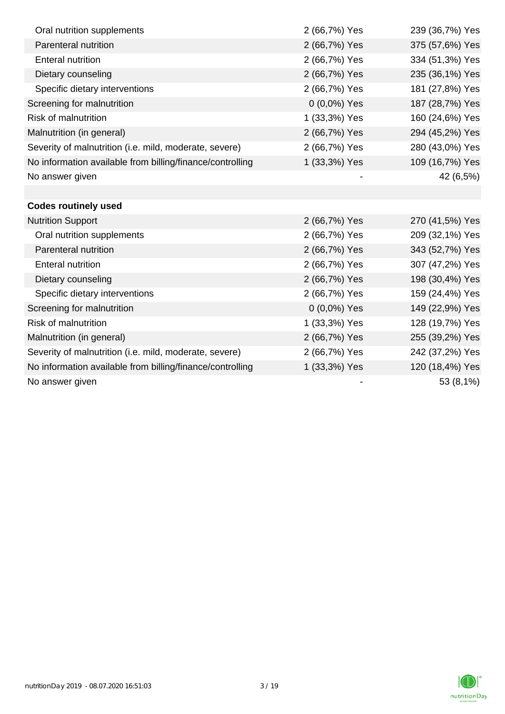| Oral nutrition supplements                                | 2 (66,7%) Yes | 239 (36,7%) Yes |
|-----------------------------------------------------------|---------------|-----------------|
| Parenteral nutrition                                      | 2 (66,7%) Yes | 375 (57,6%) Yes |
| <b>Enteral nutrition</b>                                  | 2 (66,7%) Yes | 334 (51,3%) Yes |
| Dietary counseling                                        | 2 (66,7%) Yes | 235 (36,1%) Yes |
| Specific dietary interventions                            | 2 (66,7%) Yes | 181 (27,8%) Yes |
| Screening for malnutrition                                | 0 (0,0%) Yes  | 187 (28,7%) Yes |
| <b>Risk of malnutrition</b>                               | 1 (33,3%) Yes | 160 (24,6%) Yes |
| Malnutrition (in general)                                 | 2 (66,7%) Yes | 294 (45,2%) Yes |
| Severity of malnutrition (i.e. mild, moderate, severe)    | 2 (66,7%) Yes | 280 (43,0%) Yes |
| No information available from billing/finance/controlling | 1 (33,3%) Yes | 109 (16,7%) Yes |
| No answer given                                           |               | 42 (6,5%)       |
|                                                           |               |                 |
| <b>Codes routinely used</b>                               |               |                 |
| <b>Nutrition Support</b>                                  | 2 (66,7%) Yes | 270 (41,5%) Yes |
| Oral nutrition supplements                                | 2 (66,7%) Yes | 209 (32,1%) Yes |
| Parenteral nutrition                                      | 2 (66,7%) Yes | 343 (52,7%) Yes |
| <b>Enteral nutrition</b>                                  | 2 (66,7%) Yes | 307 (47,2%) Yes |
| Dietary counseling                                        | 2 (66,7%) Yes | 198 (30,4%) Yes |
| Specific dietary interventions                            | 2 (66,7%) Yes | 159 (24,4%) Yes |
| Screening for malnutrition                                | 0 (0,0%) Yes  | 149 (22,9%) Yes |
| <b>Risk of malnutrition</b>                               | 1 (33,3%) Yes | 128 (19,7%) Yes |
| Malnutrition (in general)                                 | 2 (66,7%) Yes | 255 (39,2%) Yes |
| Severity of malnutrition (i.e. mild, moderate, severe)    | 2 (66,7%) Yes | 242 (37,2%) Yes |
| No information available from billing/finance/controlling | 1 (33,3%) Yes | 120 (18,4%) Yes |
| No answer given                                           |               | 53 (8,1%)       |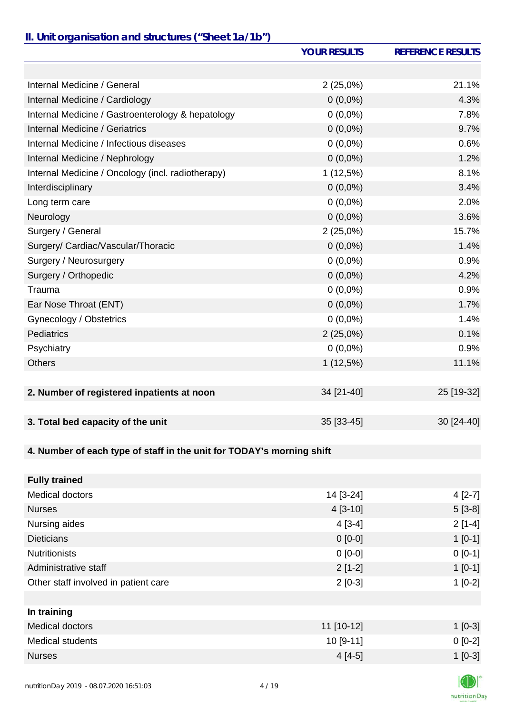### *II. Unit organisation and structures ("Sheet 1a/1b")*

|                                                                       | <b>YOUR RESULTS</b> | <b>REFERENCE RESULTS</b> |
|-----------------------------------------------------------------------|---------------------|--------------------------|
|                                                                       |                     |                          |
| Internal Medicine / General                                           | 2(25,0%)            | 21.1%                    |
| Internal Medicine / Cardiology                                        | $0(0,0\%)$          | 4.3%                     |
| Internal Medicine / Gastroenterology & hepatology                     | $0(0,0\%)$          | 7.8%                     |
| <b>Internal Medicine / Geriatrics</b>                                 | $0(0,0\%)$          | 9.7%                     |
| Internal Medicine / Infectious diseases                               | $0(0,0\%)$          | 0.6%                     |
| Internal Medicine / Nephrology                                        | $0(0,0\%)$          | 1.2%                     |
| Internal Medicine / Oncology (incl. radiotherapy)                     | $1(12,5\%)$         | 8.1%                     |
| Interdisciplinary                                                     | $0(0,0\%)$          | 3.4%                     |
| Long term care                                                        | $0(0,0\%)$          | 2.0%                     |
| Neurology                                                             | $0(0,0\%)$          | 3.6%                     |
| Surgery / General                                                     | 2(25,0%)            | 15.7%                    |
| Surgery/ Cardiac/Vascular/Thoracic                                    | $0(0,0\%)$          | 1.4%                     |
| Surgery / Neurosurgery                                                | $0(0,0\%)$          | 0.9%                     |
| Surgery / Orthopedic                                                  | $0(0,0\%)$          | 4.2%                     |
| Trauma                                                                | $0(0,0\%)$          | 0.9%                     |
| Ear Nose Throat (ENT)                                                 | $0(0,0\%)$          | 1.7%                     |
| Gynecology / Obstetrics                                               | $0(0,0\%)$          | 1.4%                     |
| <b>Pediatrics</b>                                                     | 2(25,0%)            | 0.1%                     |
| Psychiatry                                                            | $0(0,0\%)$          | 0.9%                     |
| <b>Others</b>                                                         | 1(12,5%)            | 11.1%                    |
|                                                                       |                     |                          |
| 2. Number of registered inpatients at noon                            | 34 [21-40]          | 25 [19-32]               |
|                                                                       |                     |                          |
| 3. Total bed capacity of the unit                                     | 35 [33-45]          | 30 [24-40]               |
|                                                                       |                     |                          |
| 4. Number of each type of staff in the unit for TODAY's morning shift |                     |                          |
| <b>Fully trained</b>                                                  |                     |                          |
| <b>Medical doctors</b>                                                | 14 [3-24]           | $4[2-7]$                 |
| <b>Nurses</b>                                                         | 4 [3-10]            | $5[3-8]$                 |
| Nursing aides                                                         | $4[3-4]$            | $2[1-4]$                 |
| <b>Dieticians</b>                                                     | $0 [0-0]$           | $1[0-1]$                 |
| <b>Nutritionists</b>                                                  | $0[0-0]$            | $0[0-1]$                 |
| Administrative staff                                                  | $2[1-2]$            | $1[0-1]$                 |
| Other staff involved in patient care                                  | $2[0-3]$            | $1[0-2]$                 |
|                                                                       |                     |                          |

| In training             |              |           |
|-------------------------|--------------|-----------|
| Medical doctors         | $11$ [10-12] | $1$ [0-3] |
| <b>Medical students</b> | $10$ [9-11]  | $0[0-2]$  |
| <b>Nurses</b>           | $4[4-5]$     | $1[0-3]$  |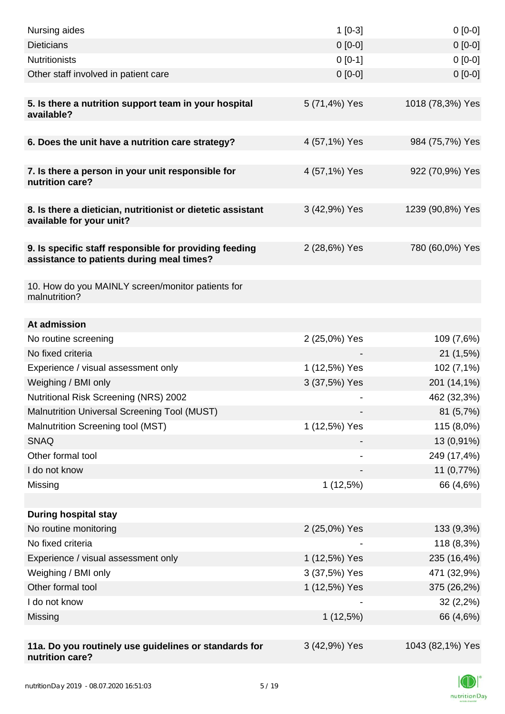| Nursing aides                                                                                       | $1[0-3]$      | $0[0-0]$         |
|-----------------------------------------------------------------------------------------------------|---------------|------------------|
| <b>Dieticians</b>                                                                                   | $0 [0-0]$     | $0[0-0]$         |
| <b>Nutritionists</b>                                                                                | $0 [0-1]$     | $0[0-0]$         |
| Other staff involved in patient care                                                                | $0 [0-0]$     | $0[0-0]$         |
|                                                                                                     |               |                  |
| 5. Is there a nutrition support team in your hospital<br>available?                                 | 5 (71,4%) Yes | 1018 (78,3%) Yes |
| 6. Does the unit have a nutrition care strategy?                                                    | 4 (57,1%) Yes | 984 (75,7%) Yes  |
| 7. Is there a person in your unit responsible for<br>nutrition care?                                | 4 (57,1%) Yes | 922 (70,9%) Yes  |
| 8. Is there a dietician, nutritionist or dietetic assistant<br>available for your unit?             | 3 (42,9%) Yes | 1239 (90,8%) Yes |
| 9. Is specific staff responsible for providing feeding<br>assistance to patients during meal times? | 2 (28,6%) Yes | 780 (60,0%) Yes  |
| 10. How do you MAINLY screen/monitor patients for<br>malnutrition?                                  |               |                  |
| At admission                                                                                        |               |                  |
| No routine screening                                                                                | 2 (25,0%) Yes | 109 (7,6%)       |
| No fixed criteria                                                                                   |               | 21(1,5%)         |
| Experience / visual assessment only                                                                 | 1 (12,5%) Yes | 102 (7,1%)       |
| Weighing / BMI only                                                                                 | 3 (37,5%) Yes | 201 (14,1%)      |
| Nutritional Risk Screening (NRS) 2002                                                               |               | 462 (32,3%)      |
| <b>Malnutrition Universal Screening Tool (MUST)</b>                                                 |               | 81(5,7%)         |
| Malnutrition Screening tool (MST)                                                                   | 1 (12,5%) Yes | 115 (8,0%)       |
| <b>SNAQ</b>                                                                                         |               | 13 (0,91%)       |
| Other formal tool                                                                                   |               | 249 (17,4%)      |
| I do not know                                                                                       |               | 11 (0,77%)       |
| Missing                                                                                             | 1(12,5%)      | 66 (4,6%)        |
|                                                                                                     |               |                  |
| <b>During hospital stay</b>                                                                         |               |                  |
| No routine monitoring                                                                               | 2 (25,0%) Yes | 133 (9,3%)       |
| No fixed criteria                                                                                   |               | 118 (8,3%)       |
| Experience / visual assessment only                                                                 | 1 (12,5%) Yes | 235 (16,4%)      |
| Weighing / BMI only                                                                                 | 3 (37,5%) Yes | 471 (32,9%)      |
| Other formal tool                                                                                   | 1 (12,5%) Yes | 375 (26,2%)      |
| I do not know                                                                                       |               | 32(2,2%)         |
| Missing                                                                                             | 1(12,5%)      | 66 (4,6%)        |
|                                                                                                     |               |                  |
| 11a. Do you routinely use guidelines or standards for<br>nutrition care?                            | 3 (42,9%) Yes | 1043 (82,1%) Yes |

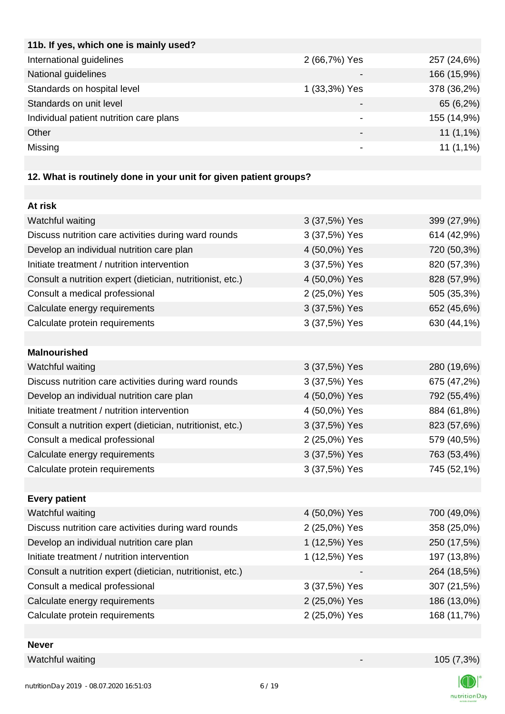| 11b. If yes, which one is mainly used?  |                          |             |
|-----------------------------------------|--------------------------|-------------|
| International guidelines                | 2 (66,7%) Yes            | 257 (24,6%) |
| National guidelines                     |                          | 166 (15,9%) |
| Standards on hospital level             | 1 (33,3%) Yes            | 378 (36,2%) |
| Standards on unit level                 |                          | 65 (6,2%)   |
| Individual patient nutrition care plans |                          | 155 (14,9%) |
| Other                                   | $\overline{\phantom{0}}$ | $11(1,1\%)$ |
| Missing                                 |                          | $11(1,1\%)$ |
|                                         |                          |             |

# **12. What is routinely done in your unit for given patient groups?**

| At risk                                                    |               |             |
|------------------------------------------------------------|---------------|-------------|
| Watchful waiting                                           | 3 (37,5%) Yes | 399 (27,9%) |
| Discuss nutrition care activities during ward rounds       | 3 (37,5%) Yes | 614 (42,9%) |
| Develop an individual nutrition care plan                  | 4 (50,0%) Yes | 720 (50,3%) |
| Initiate treatment / nutrition intervention                | 3 (37,5%) Yes | 820 (57,3%) |
| Consult a nutrition expert (dietician, nutritionist, etc.) | 4 (50,0%) Yes | 828 (57,9%) |
| Consult a medical professional                             | 2 (25,0%) Yes | 505 (35,3%) |
| Calculate energy requirements                              | 3 (37,5%) Yes | 652 (45,6%) |
| Calculate protein requirements                             | 3 (37,5%) Yes | 630 (44,1%) |
|                                                            |               |             |
| <b>Malnourished</b>                                        |               |             |
| Watchful waiting                                           | 3 (37,5%) Yes | 280 (19,6%) |
| Discuss nutrition care activities during ward rounds       | 3 (37,5%) Yes | 675 (47,2%) |
| Develop an individual nutrition care plan                  | 4 (50,0%) Yes | 792 (55,4%) |
| Initiate treatment / nutrition intervention                | 4 (50,0%) Yes | 884 (61,8%) |
| Consult a nutrition expert (dietician, nutritionist, etc.) | 3 (37,5%) Yes | 823 (57,6%) |
| Consult a medical professional                             | 2 (25,0%) Yes | 579 (40,5%) |
| Calculate energy requirements                              | 3 (37,5%) Yes | 763 (53,4%) |
| Calculate protein requirements                             | 3 (37,5%) Yes | 745 (52,1%) |
|                                                            |               |             |
| <b>Every patient</b>                                       |               |             |
| Watchful waiting                                           | 4 (50,0%) Yes | 700 (49,0%) |
| Discuss nutrition care activities during ward rounds       | 2 (25,0%) Yes | 358 (25,0%) |
| Develop an individual nutrition care plan                  | 1 (12,5%) Yes | 250 (17,5%) |
| Initiate treatment / nutrition intervention                | 1 (12,5%) Yes | 197 (13,8%) |
| Consult a nutrition expert (dietician, nutritionist, etc.) |               | 264 (18,5%) |
| Consult a medical professional                             | 3 (37,5%) Yes | 307 (21,5%) |
| Calculate energy requirements                              | 2 (25,0%) Yes | 186 (13,0%) |
| Calculate protein requirements                             | 2 (25,0%) Yes | 168 (11,7%) |
|                                                            |               |             |

### **Never**

Watchful waiting 105 (7,3%)



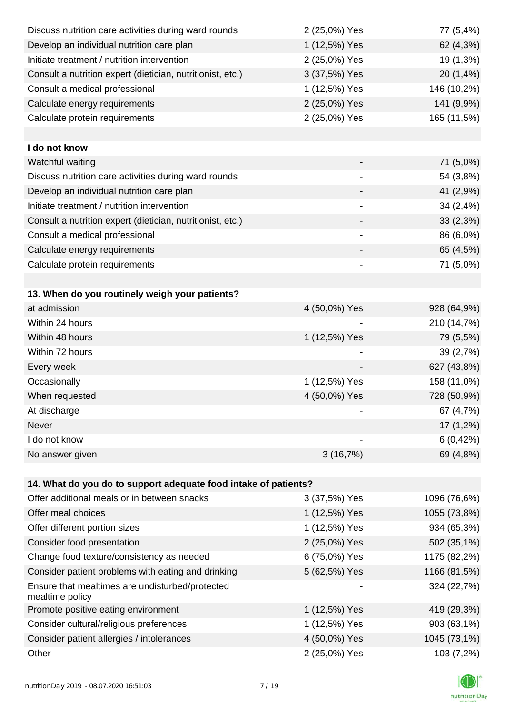| Discuss nutrition care activities during ward rounds               | 2 (25,0%) Yes                | 77 (5,4%)    |
|--------------------------------------------------------------------|------------------------------|--------------|
| Develop an individual nutrition care plan                          | 1 (12,5%) Yes                | 62 (4,3%)    |
| Initiate treatment / nutrition intervention                        | 2 (25,0%) Yes                | 19 (1,3%)    |
| Consult a nutrition expert (dietician, nutritionist, etc.)         | 3 (37,5%) Yes                | 20 (1,4%)    |
| Consult a medical professional                                     | 1 (12,5%) Yes                | 146 (10,2%)  |
| Calculate energy requirements                                      | 2 (25,0%) Yes                | 141 (9,9%)   |
| Calculate protein requirements                                     | 2 (25,0%) Yes                | 165 (11,5%)  |
|                                                                    |                              |              |
| I do not know                                                      |                              |              |
| Watchful waiting                                                   |                              | 71 (5,0%)    |
| Discuss nutrition care activities during ward rounds               |                              | 54 (3,8%)    |
| Develop an individual nutrition care plan                          |                              | 41 (2,9%)    |
| Initiate treatment / nutrition intervention                        |                              | 34 (2,4%)    |
| Consult a nutrition expert (dietician, nutritionist, etc.)         |                              | 33(2,3%)     |
| Consult a medical professional                                     | $\qquad \qquad \blacksquare$ | 86 (6,0%)    |
| Calculate energy requirements                                      |                              | 65 (4,5%)    |
| Calculate protein requirements                                     |                              | 71 (5,0%)    |
|                                                                    |                              |              |
| 13. When do you routinely weigh your patients?                     |                              |              |
| at admission                                                       | 4 (50,0%) Yes                | 928 (64,9%)  |
| Within 24 hours                                                    |                              | 210 (14,7%)  |
| Within 48 hours                                                    | 1 (12,5%) Yes                | 79 (5,5%)    |
| Within 72 hours                                                    |                              | 39 (2,7%)    |
| Every week                                                         |                              | 627 (43,8%)  |
| Occasionally                                                       | 1 (12,5%) Yes                | 158 (11,0%)  |
| When requested                                                     | 4 (50,0%) Yes                | 728 (50,9%)  |
| At discharge                                                       |                              | 67 (4,7%)    |
| Never                                                              |                              | 17 (1,2%)    |
| I do not know                                                      |                              | 6(0,42%)     |
| No answer given                                                    | 3(16,7%)                     | 69 (4,8%)    |
|                                                                    |                              |              |
| 14. What do you do to support adequate food intake of patients?    |                              |              |
| Offer additional meals or in between snacks                        | 3 (37,5%) Yes                | 1096 (76,6%) |
| Offer meal choices                                                 | 1 (12,5%) Yes                | 1055 (73,8%) |
| Offer different portion sizes                                      | 1 (12,5%) Yes                | 934 (65,3%)  |
| Consider food presentation                                         | 2 (25,0%) Yes                | 502 (35,1%)  |
| Change food texture/consistency as needed                          | 6 (75,0%) Yes                | 1175 (82,2%) |
| Consider patient problems with eating and drinking                 | 5 (62,5%) Yes                | 1166 (81,5%) |
| Ensure that mealtimes are undisturbed/protected<br>mealtime policy |                              | 324 (22,7%)  |
| Promote positive eating environment                                | 1 (12,5%) Yes                | 419 (29,3%)  |
| Consider cultural/religious preferences                            | 1 (12,5%) Yes                | 903 (63,1%)  |
| Consider patient allergies / intolerances                          | 4 (50,0%) Yes                | 1045 (73,1%) |
| Other                                                              | 2 (25,0%) Yes                | 103 (7,2%)   |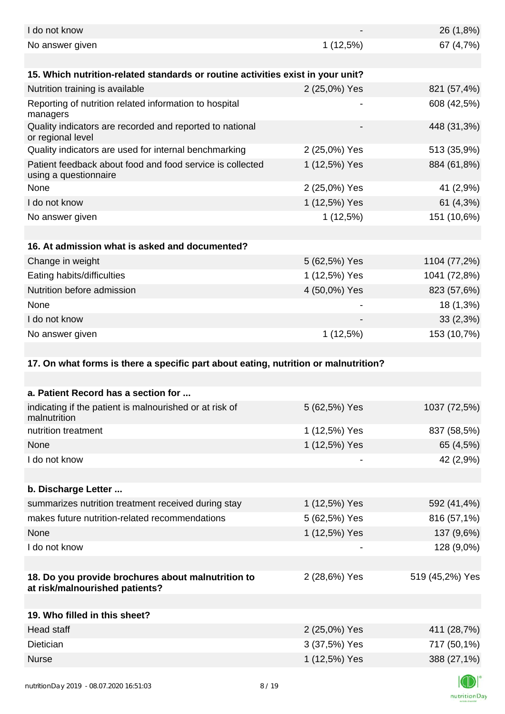| I do not know                                                                        |               | 26 (1,8%)       |
|--------------------------------------------------------------------------------------|---------------|-----------------|
| No answer given                                                                      | 1(12,5%)      | 67 (4,7%)       |
| 15. Which nutrition-related standards or routine activities exist in your unit?      |               |                 |
| Nutrition training is available                                                      | 2 (25,0%) Yes | 821 (57,4%)     |
| Reporting of nutrition related information to hospital<br>managers                   |               | 608 (42,5%)     |
| Quality indicators are recorded and reported to national<br>or regional level        |               | 448 (31,3%)     |
| Quality indicators are used for internal benchmarking                                | 2 (25,0%) Yes | 513 (35,9%)     |
| Patient feedback about food and food service is collected<br>using a questionnaire   | 1 (12,5%) Yes | 884 (61,8%)     |
| None                                                                                 | 2 (25,0%) Yes | 41 (2,9%)       |
| I do not know                                                                        | 1 (12,5%) Yes | 61 (4,3%)       |
| No answer given                                                                      | 1(12,5%)      | 151 (10,6%)     |
|                                                                                      |               |                 |
| 16. At admission what is asked and documented?                                       |               |                 |
| Change in weight                                                                     | 5 (62,5%) Yes | 1104 (77,2%)    |
| Eating habits/difficulties                                                           | 1 (12,5%) Yes | 1041 (72,8%)    |
| Nutrition before admission                                                           | 4 (50,0%) Yes | 823 (57,6%)     |
| None                                                                                 |               | 18 (1,3%)       |
| I do not know                                                                        |               | 33(2,3%)        |
| No answer given                                                                      | 1(12,5%)      | 153 (10,7%)     |
|                                                                                      |               |                 |
| 17. On what forms is there a specific part about eating, nutrition or malnutrition?  |               |                 |
|                                                                                      |               |                 |
| a. Patient Record has a section for                                                  |               |                 |
| indicating if the patient is malnourished or at risk of<br>malnutrition              | 5 (62,5%) Yes | 1037 (72,5%)    |
| nutrition treatment                                                                  | 1 (12,5%) Yes | 837 (58,5%)     |
| None                                                                                 | 1 (12,5%) Yes | 65 (4,5%)       |
| I do not know                                                                        |               | 42 (2,9%)       |
|                                                                                      |               |                 |
| b. Discharge Letter                                                                  |               |                 |
| summarizes nutrition treatment received during stay                                  | 1 (12,5%) Yes | 592 (41,4%)     |
| makes future nutrition-related recommendations                                       | 5 (62,5%) Yes | 816 (57,1%)     |
| None                                                                                 | 1 (12,5%) Yes | 137 (9,6%)      |
| I do not know                                                                        |               | 128 (9,0%)      |
|                                                                                      |               |                 |
| 18. Do you provide brochures about malnutrition to<br>at risk/malnourished patients? | 2 (28,6%) Yes | 519 (45,2%) Yes |
|                                                                                      |               |                 |
| 19. Who filled in this sheet?                                                        |               |                 |
| Head staff                                                                           | 2 (25,0%) Yes | 411 (28,7%)     |
| Dietician                                                                            | 3 (37,5%) Yes | 717 (50,1%)     |
| <b>Nurse</b>                                                                         |               | 388 (27,1%)     |
|                                                                                      | 1 (12,5%) Yes |                 |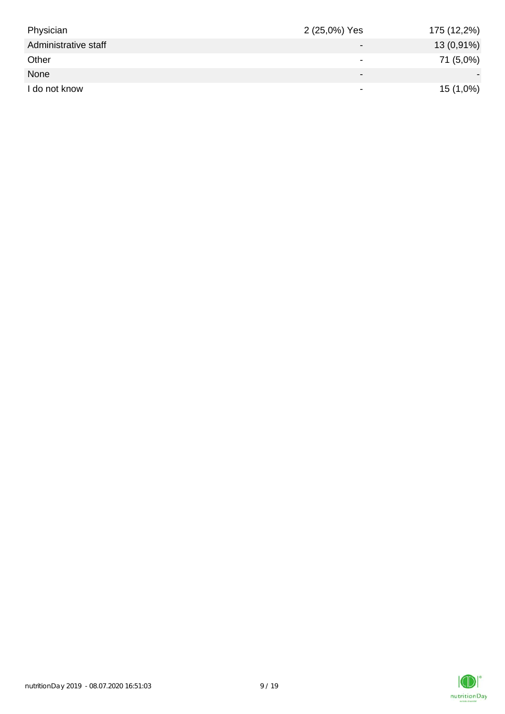| Physician            | 2 (25,0%) Yes            | 175 (12,2%) |
|----------------------|--------------------------|-------------|
| Administrative staff | $\overline{\phantom{0}}$ | 13 (0,91%)  |
| Other                | $\overline{\phantom{0}}$ | 71 (5,0%)   |
| None                 | $\overline{\phantom{0}}$ |             |
| I do not know        | $\overline{\phantom{0}}$ | 15(1,0%)    |

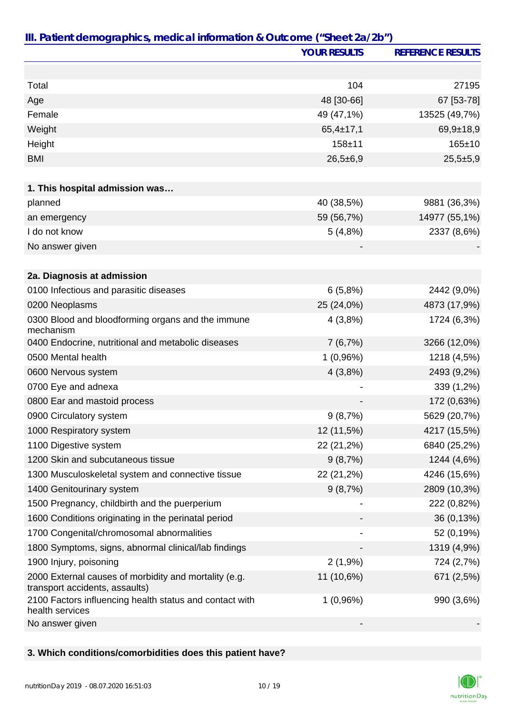|                                                                                         | <b>YOUR RESULTS</b> | <b>REFERENCE RESULTS</b> |
|-----------------------------------------------------------------------------------------|---------------------|--------------------------|
|                                                                                         |                     |                          |
| Total                                                                                   | 104                 | 27195                    |
| Age                                                                                     | 48 [30-66]          | 67 [53-78]               |
| Female                                                                                  | 49 (47,1%)          | 13525 (49,7%)            |
| Weight                                                                                  | $65,4\pm17,1$       | $69,9+18,9$              |
| Height                                                                                  | 158±11              | $165 \pm 10$             |
| <b>BMI</b>                                                                              | $26,5+6,9$          | $25,5+5,9$               |
|                                                                                         |                     |                          |
| 1. This hospital admission was                                                          |                     |                          |
| planned                                                                                 | 40 (38,5%)          | 9881 (36,3%)             |
| an emergency                                                                            | 59 (56,7%)          | 14977 (55,1%)            |
| I do not know                                                                           | 5(4,8%)             | 2337 (8,6%)              |
| No answer given                                                                         |                     |                          |
|                                                                                         |                     |                          |
| 2a. Diagnosis at admission                                                              |                     |                          |
| 0100 Infectious and parasitic diseases                                                  | 6(5,8%)             | 2442 (9,0%)              |
| 0200 Neoplasms                                                                          | 25 (24,0%)          | 4873 (17,9%)             |
| 0300 Blood and bloodforming organs and the immune<br>mechanism                          | 4(3,8%)             | 1724 (6,3%)              |
| 0400 Endocrine, nutritional and metabolic diseases                                      | 7(6,7%)             | 3266 (12,0%)             |
| 0500 Mental health                                                                      | 1(0,96%)            | 1218 (4,5%)              |
| 0600 Nervous system                                                                     | 4(3,8%)             | 2493 (9,2%)              |
| 0700 Eye and adnexa                                                                     |                     | 339 (1,2%)               |
| 0800 Ear and mastoid process                                                            |                     | 172 (0,63%)              |
| 0900 Circulatory system                                                                 | 9(8,7%)             | 5629 (20,7%)             |
| 1000 Respiratory system                                                                 | 12 (11,5%)          | 4217 (15,5%)             |
| 1100 Digestive system                                                                   | 22 (21,2%)          | 6840 (25,2%)             |
| 1200 Skin and subcutaneous tissue                                                       | 9(8,7%)             | 1244 (4,6%)              |
| 1300 Musculoskeletal system and connective tissue                                       | 22 (21,2%)          | 4246 (15,6%)             |
| 1400 Genitourinary system                                                               | 9(8,7%)             | 2809 (10,3%)             |
| 1500 Pregnancy, childbirth and the puerperium                                           |                     | 222 (0,82%)              |
| 1600 Conditions originating in the perinatal period                                     |                     | 36 (0,13%)               |
| 1700 Congenital/chromosomal abnormalities                                               |                     | 52 (0,19%)               |
| 1800 Symptoms, signs, abnormal clinical/lab findings                                    |                     | 1319 (4,9%)              |
| 1900 Injury, poisoning                                                                  | 2(1,9%              | 724 (2,7%)               |
| 2000 External causes of morbidity and mortality (e.g.<br>transport accidents, assaults) | 11 (10,6%)          | 671 (2,5%)               |
| 2100 Factors influencing health status and contact with<br>health services              | 1(0,96%)            | 990 (3,6%)               |
| No answer given                                                                         |                     |                          |

## **3. Which conditions/comorbidities does this patient have?**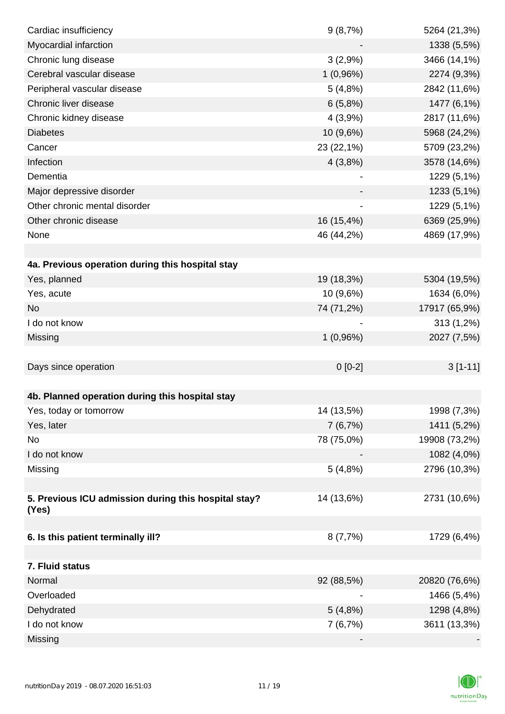| Cardiac insufficiency                                | 9(8,7%)    | 5264 (21,3%)  |
|------------------------------------------------------|------------|---------------|
| Myocardial infarction                                |            | 1338 (5,5%)   |
| Chronic lung disease                                 | 3(2,9%)    | 3466 (14,1%)  |
| Cerebral vascular disease                            | 1 (0,96%)  | 2274 (9,3%)   |
| Peripheral vascular disease                          | 5(4,8%)    | 2842 (11,6%)  |
| Chronic liver disease                                | 6(5,8%)    | 1477 (6,1%)   |
| Chronic kidney disease                               | 4(3,9%)    | 2817 (11,6%)  |
| <b>Diabetes</b>                                      | 10 (9,6%)  | 5968 (24,2%)  |
| Cancer                                               | 23 (22,1%) | 5709 (23,2%)  |
| Infection                                            | 4(3,8%)    | 3578 (14,6%)  |
| Dementia                                             |            | 1229 (5,1%)   |
| Major depressive disorder                            |            | 1233 (5,1%)   |
| Other chronic mental disorder                        |            | 1229 (5,1%)   |
| Other chronic disease                                | 16 (15,4%) | 6369 (25,9%)  |
| None                                                 | 46 (44,2%) | 4869 (17,9%)  |
|                                                      |            |               |
| 4a. Previous operation during this hospital stay     |            |               |
| Yes, planned                                         | 19 (18,3%) | 5304 (19,5%)  |
| Yes, acute                                           | 10 (9,6%)  | 1634 (6,0%)   |
| <b>No</b>                                            | 74 (71,2%) | 17917 (65,9%) |
| I do not know                                        |            | 313 (1,2%)    |
| Missing                                              | 1(0,96%)   | 2027 (7,5%)   |
|                                                      |            |               |
| Days since operation                                 | $0 [0-2]$  | $3[1-11]$     |
|                                                      |            |               |
| 4b. Planned operation during this hospital stay      |            |               |
| Yes, today or tomorrow                               | 14 (13,5%) | 1998 (7,3%)   |
| Yes, later                                           | 7(6,7%)    | 1411 (5,2%)   |
| No                                                   | 78 (75,0%) | 19908 (73,2%) |
| I do not know                                        |            | 1082 (4,0%)   |
| Missing                                              | 5(4,8%)    | 2796 (10,3%)  |
|                                                      |            |               |
| 5. Previous ICU admission during this hospital stay? | 14 (13,6%) | 2731 (10,6%)  |
| (Yes)                                                |            |               |
| 6. Is this patient terminally ill?                   | 8(7,7%)    | 1729 (6,4%)   |
|                                                      |            |               |
| 7. Fluid status                                      |            |               |
| Normal                                               | 92 (88,5%) | 20820 (76,6%) |
| Overloaded                                           |            | 1466 (5,4%)   |
| Dehydrated                                           | 5(4,8%)    | 1298 (4,8%)   |
| I do not know                                        | 7(6,7%)    | 3611 (13,3%)  |
| Missing                                              |            |               |
|                                                      |            |               |

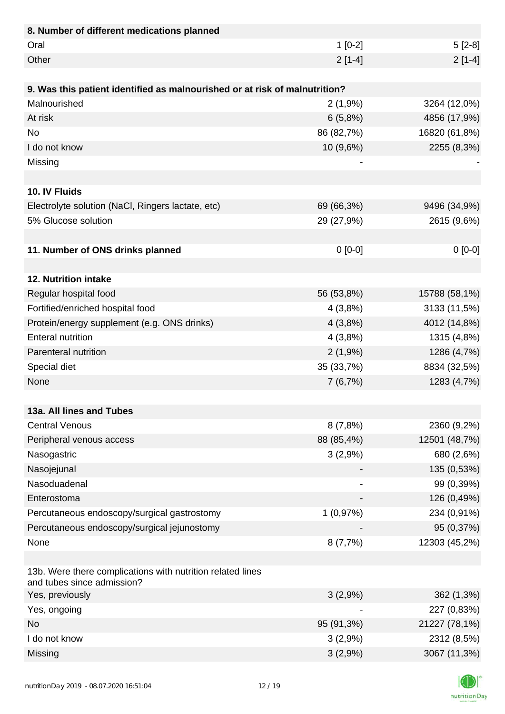| 8. Number of different medications planned                                               |            |               |
|------------------------------------------------------------------------------------------|------------|---------------|
| Oral                                                                                     | $1[0-2]$   | $5[2-8]$      |
| Other                                                                                    | $2[1-4]$   | $2[1-4]$      |
|                                                                                          |            |               |
| 9. Was this patient identified as malnourished or at risk of malnutrition?               |            |               |
| Malnourished                                                                             | 2(1,9%)    | 3264 (12,0%)  |
| At risk                                                                                  | 6(5,8%)    | 4856 (17,9%)  |
| <b>No</b>                                                                                | 86 (82,7%) | 16820 (61,8%) |
| I do not know                                                                            | 10 (9,6%)  | 2255 (8,3%)   |
| Missing                                                                                  |            |               |
|                                                                                          |            |               |
| 10. IV Fluids                                                                            |            |               |
| Electrolyte solution (NaCl, Ringers lactate, etc)                                        | 69 (66,3%) | 9496 (34,9%)  |
| 5% Glucose solution                                                                      | 29 (27,9%) | 2615 (9,6%)   |
|                                                                                          |            |               |
| 11. Number of ONS drinks planned                                                         | $0[0-0]$   | $0[0-0]$      |
|                                                                                          |            |               |
| 12. Nutrition intake                                                                     |            |               |
| Regular hospital food                                                                    | 56 (53,8%) | 15788 (58,1%) |
| Fortified/enriched hospital food                                                         | 4(3,8%)    | 3133 (11,5%)  |
| Protein/energy supplement (e.g. ONS drinks)                                              | 4(3,8%)    | 4012 (14,8%)  |
| <b>Enteral nutrition</b>                                                                 | 4(3,8%)    | 1315 (4,8%)   |
| Parenteral nutrition                                                                     | 2(1,9%)    | 1286 (4,7%)   |
| Special diet                                                                             | 35 (33,7%) | 8834 (32,5%)  |
| None                                                                                     | 7(6,7%)    | 1283 (4,7%)   |
|                                                                                          |            |               |
| 13a. All lines and Tubes                                                                 |            |               |
| <b>Central Venous</b>                                                                    | 8(7,8%)    | 2360 (9,2%)   |
| Peripheral venous access                                                                 | 88 (85,4%) | 12501 (48,7%) |
| Nasogastric                                                                              | 3(2,9%)    | 680 (2,6%)    |
| Nasojejunal                                                                              |            | 135 (0,53%)   |
| Nasoduadenal                                                                             |            | 99 (0,39%)    |
| Enterostoma                                                                              |            | 126 (0,49%)   |
| Percutaneous endoscopy/surgical gastrostomy                                              | 1(0,97%)   | 234 (0,91%)   |
| Percutaneous endoscopy/surgical jejunostomy                                              |            | 95 (0,37%)    |
| None                                                                                     | 8(7,7%)    | 12303 (45,2%) |
|                                                                                          |            |               |
| 13b. Were there complications with nutrition related lines<br>and tubes since admission? |            |               |
| Yes, previously                                                                          | 3(2,9%)    | 362(1,3%)     |
| Yes, ongoing                                                                             |            | 227 (0,83%)   |
| <b>No</b>                                                                                | 95 (91,3%) | 21227 (78,1%) |
| I do not know                                                                            | 3(2,9%)    | 2312 (8,5%)   |
| Missing                                                                                  | 3(2,9%)    | 3067 (11,3%)  |

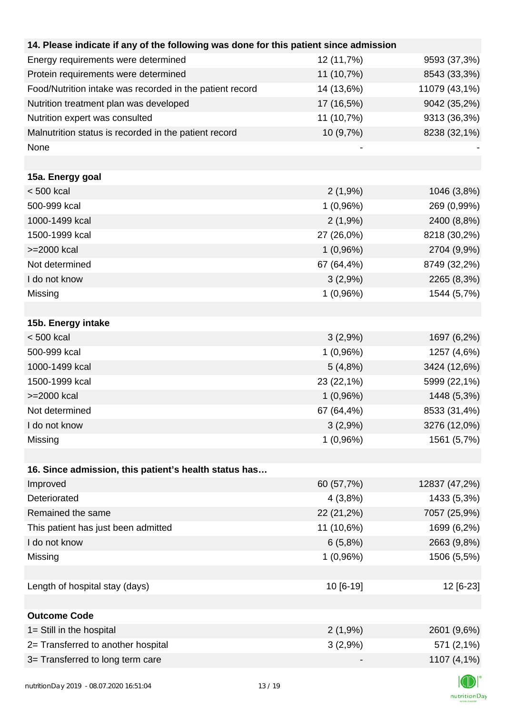| 14. Please indicate if any of the following was done for this patient since admission |            |               |
|---------------------------------------------------------------------------------------|------------|---------------|
| Energy requirements were determined                                                   | 12 (11,7%) | 9593 (37,3%)  |
| Protein requirements were determined                                                  | 11 (10,7%) | 8543 (33,3%)  |
| Food/Nutrition intake was recorded in the patient record                              | 14 (13,6%) | 11079 (43,1%) |
| Nutrition treatment plan was developed                                                | 17 (16,5%) | 9042 (35,2%)  |
| Nutrition expert was consulted                                                        | 11 (10,7%) | 9313 (36,3%)  |
| Malnutrition status is recorded in the patient record                                 | 10 (9,7%)  | 8238 (32,1%)  |
| None                                                                                  |            |               |
|                                                                                       |            |               |
| 15a. Energy goal                                                                      |            |               |
| < 500 kcal                                                                            | 2(1,9%     | 1046 (3,8%)   |
| 500-999 kcal                                                                          | 1(0,96%)   | 269 (0,99%)   |
| 1000-1499 kcal                                                                        | 2(1,9%)    | 2400 (8,8%)   |
| 1500-1999 kcal                                                                        | 27 (26,0%) | 8218 (30,2%)  |
| >=2000 kcal                                                                           | 1(0,96%)   | 2704 (9,9%)   |
| Not determined                                                                        | 67 (64,4%) |               |
| I do not know                                                                         |            | 8749 (32,2%)  |
|                                                                                       | 3(2,9%)    | 2265 (8,3%)   |
| Missing                                                                               | 1(0,96%)   | 1544 (5,7%)   |
|                                                                                       |            |               |
| 15b. Energy intake                                                                    |            |               |
| < 500 kcal                                                                            | 3(2,9%)    | 1697 (6,2%)   |
| 500-999 kcal                                                                          | 1(0,96%)   | 1257 (4,6%)   |
| 1000-1499 kcal                                                                        | 5(4,8%)    | 3424 (12,6%)  |
| 1500-1999 kcal                                                                        | 23 (22,1%) | 5999 (22,1%)  |
| >=2000 kcal                                                                           | 1(0,96%)   | 1448 (5,3%)   |
| Not determined                                                                        | 67 (64,4%) | 8533 (31,4%)  |
| I do not know                                                                         | 3(2,9%)    | 3276 (12,0%)  |
| Missing                                                                               | 1(0,96%)   | 1561 (5,7%)   |
|                                                                                       |            |               |
| 16. Since admission, this patient's health status has                                 |            |               |
| Improved                                                                              | 60 (57,7%) | 12837 (47,2%) |
| Deteriorated                                                                          | 4(3,8%)    | 1433 (5,3%)   |
| Remained the same                                                                     | 22 (21,2%) | 7057 (25,9%)  |
| This patient has just been admitted                                                   | 11 (10,6%) | 1699 (6,2%)   |
| I do not know                                                                         | 6(5,8%)    | 2663 (9,8%)   |
| Missing                                                                               | 1(0,96%)   | 1506 (5,5%)   |
|                                                                                       |            |               |
| Length of hospital stay (days)                                                        | 10 [6-19]  | 12 [6-23]     |
|                                                                                       |            |               |
| <b>Outcome Code</b>                                                                   |            |               |
| 1= Still in the hospital                                                              | $2(1,9\%)$ | 2601 (9,6%)   |
| 2= Transferred to another hospital                                                    | 3(2,9%)    | 571 (2,1%)    |
| 3= Transferred to long term care                                                      |            | 1107 (4,1%)   |
|                                                                                       |            |               |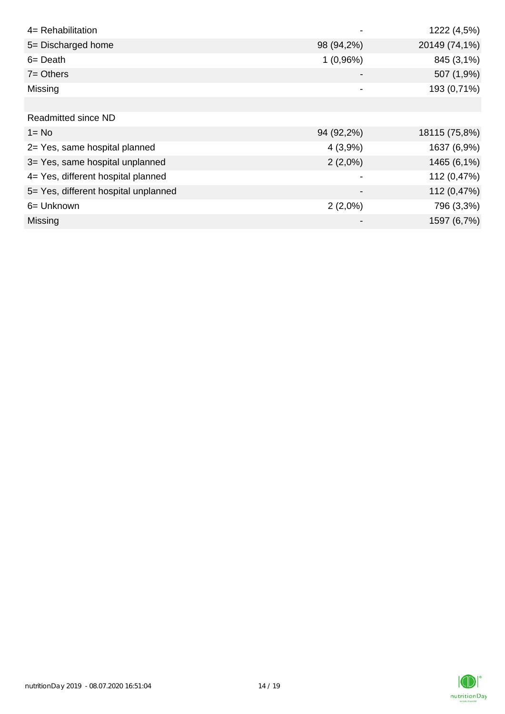| 4= Rehabilitation                    |            | 1222 (4,5%)   |
|--------------------------------------|------------|---------------|
| 5= Discharged home                   | 98 (94,2%) | 20149 (74,1%) |
| $6 = Death$                          | 1(0,96%)   | 845 (3,1%)    |
| $7 =$ Others                         |            | 507 (1,9%)    |
| Missing                              |            | 193 (0,71%)   |
|                                      |            |               |
| <b>Readmitted since ND</b>           |            |               |
| $1 = No$                             | 94 (92,2%) | 18115 (75,8%) |
| 2= Yes, same hospital planned        | 4(3,9%)    | 1637 (6,9%)   |
| 3= Yes, same hospital unplanned      | $2(2,0\%)$ | 1465 (6,1%)   |
| 4= Yes, different hospital planned   |            | 112 (0,47%)   |
| 5= Yes, different hospital unplanned |            | 112 (0,47%)   |
| 6= Unknown                           | $2(2,0\%)$ | 796 (3,3%)    |
| <b>Missing</b>                       |            | 1597 (6,7%)   |

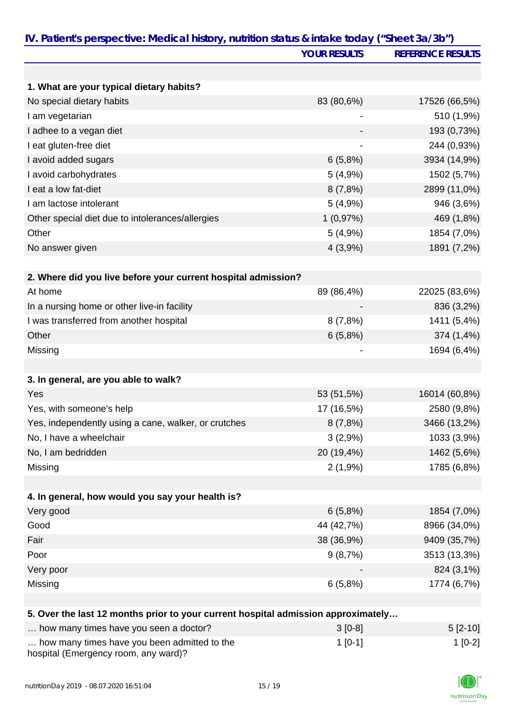|                                                                                   | <b>YOUR RESULTS</b> | <b>REFERENCE RESULTS</b> |
|-----------------------------------------------------------------------------------|---------------------|--------------------------|
|                                                                                   |                     |                          |
| 1. What are your typical dietary habits?                                          |                     |                          |
| No special dietary habits                                                         | 83 (80,6%)          | 17526 (66,5%)            |
| I am vegetarian                                                                   |                     | 510 (1,9%)               |
| I adhee to a vegan diet                                                           |                     | 193 (0,73%)              |
| I eat gluten-free diet                                                            |                     | 244 (0,93%)              |
| I avoid added sugars                                                              | 6(5,8%)             | 3934 (14,9%)             |
| I avoid carbohydrates                                                             | 5(4,9%)             | 1502 (5,7%)              |
| I eat a low fat-diet                                                              | 8(7,8%)             | 2899 (11,0%)             |
| I am lactose intolerant                                                           | 5(4,9%)             | 946 (3,6%)               |
| Other special diet due to intolerances/allergies                                  | 1(0,97%)            | 469 (1,8%)               |
| Other                                                                             | 5(4,9%)             | 1854 (7,0%)              |
| No answer given                                                                   | 4(3,9%)             | 1891 (7,2%)              |
| 2. Where did you live before your current hospital admission?                     |                     |                          |
| At home                                                                           | 89 (86,4%)          | 22025 (83,6%)            |
| In a nursing home or other live-in facility                                       |                     | 836 (3,2%)               |
| I was transferred from another hospital                                           | 8(7,8%)             | 1411 (5,4%)              |
| Other                                                                             | 6(5,8%)             | 374 (1,4%)               |
| Missing                                                                           |                     | 1694 (6,4%)              |
|                                                                                   |                     |                          |
| 3. In general, are you able to walk?                                              |                     |                          |
| Yes                                                                               | 53 (51,5%)          | 16014 (60,8%)            |
| Yes, with someone's help                                                          | 17 (16,5%)          | 2580 (9,8%)              |
| Yes, independently using a cane, walker, or crutches                              | 8(7,8%)             | 3466 (13,2%)             |
| No, I have a wheelchair                                                           | 3(2,9%)             | 1033 (3,9%)              |
| No, I am bedridden                                                                | 20 (19,4%)          | 1462 (5,6%)              |
| Missing                                                                           | 2(1,9%)             | 1785 (6,8%)              |
| 4. In general, how would you say your health is?                                  |                     |                          |
| Very good                                                                         | 6(5,8%)             | 1854 (7,0%)              |
| Good                                                                              | 44 (42,7%)          | 8966 (34,0%)             |
| Fair                                                                              | 38 (36,9%)          | 9409 (35,7%)             |
| Poor                                                                              | 9(8,7%)             | 3513 (13,3%)             |
| Very poor                                                                         |                     | 824 (3,1%)               |
| Missing                                                                           | 6(5,8%)             | 1774 (6,7%)              |
|                                                                                   |                     |                          |
| 5. Over the last 12 months prior to your current hospital admission approximately |                     |                          |

| how many times have you seen a doctor?                                               | $3[0-8]$  | $5 [2-10]$ |
|--------------------------------------------------------------------------------------|-----------|------------|
| how many times have you been admitted to the<br>hospital (Emergency room, any ward)? | $1$ [0-1] | $1$ [0-2]  |

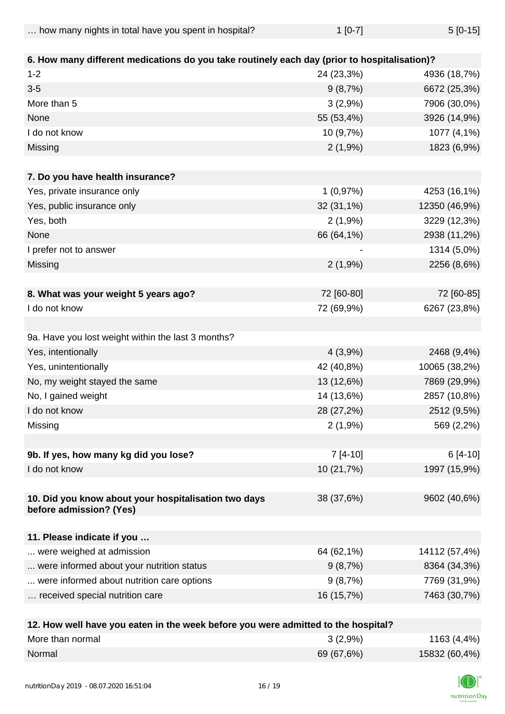| how many nights in total have you spent in hospital? | $1$ [0-7] | $5[0-15]$ |
|------------------------------------------------------|-----------|-----------|
|------------------------------------------------------|-----------|-----------|

| 6. How many different medications do you take routinely each day (prior to hospitalisation)? |            |               |
|----------------------------------------------------------------------------------------------|------------|---------------|
| $1 - 2$                                                                                      | 24 (23,3%) | 4936 (18,7%)  |
| $3-5$                                                                                        | 9(8,7%)    | 6672 (25,3%)  |
| More than 5                                                                                  | 3(2,9%)    | 7906 (30,0%)  |
| None                                                                                         | 55 (53,4%) | 3926 (14,9%)  |
| I do not know                                                                                | 10 (9,7%)  | 1077 (4,1%)   |
| Missing                                                                                      | 2(1,9%)    | 1823 (6,9%)   |
|                                                                                              |            |               |
| 7. Do you have health insurance?                                                             |            |               |
| Yes, private insurance only                                                                  | 1(0,97%)   | 4253 (16,1%)  |
| Yes, public insurance only                                                                   | 32 (31,1%) | 12350 (46,9%) |
| Yes, both                                                                                    | 2(1,9%)    | 3229 (12,3%)  |
| None                                                                                         | 66 (64,1%) | 2938 (11,2%)  |
| I prefer not to answer                                                                       |            | 1314 (5,0%)   |
| Missing                                                                                      | 2(1,9%)    | 2256 (8,6%)   |
|                                                                                              |            |               |
| 8. What was your weight 5 years ago?                                                         | 72 [60-80] | 72 [60-85]    |
| I do not know                                                                                | 72 (69,9%) | 6267 (23,8%)  |
|                                                                                              |            |               |
| 9a. Have you lost weight within the last 3 months?                                           |            |               |
| Yes, intentionally                                                                           | 4(3,9%)    | 2468 (9,4%)   |
| Yes, unintentionally                                                                         | 42 (40,8%) | 10065 (38,2%) |
| No, my weight stayed the same                                                                | 13 (12,6%) | 7869 (29,9%)  |
| No, I gained weight                                                                          | 14 (13,6%) | 2857 (10,8%)  |
| I do not know                                                                                | 28 (27,2%) | 2512 (9,5%)   |
| Missing                                                                                      | 2(1,9%)    | 569 (2,2%)    |
|                                                                                              |            |               |
| 9b. If yes, how many kg did you lose?                                                        | $7[4-10]$  | $6[4-10]$     |
| I do not know                                                                                | 10 (21,7%) | 1997 (15,9%)  |
|                                                                                              |            |               |
| 10. Did you know about your hospitalisation two days                                         | 38 (37,6%) | 9602 (40,6%)  |
| before admission? (Yes)                                                                      |            |               |
|                                                                                              |            |               |
| 11. Please indicate if you                                                                   |            |               |
| were weighed at admission                                                                    | 64 (62,1%) | 14112 (57,4%) |
| were informed about your nutrition status                                                    | 9(8,7%)    | 8364 (34,3%)  |
| were informed about nutrition care options                                                   | 9(8,7%)    | 7769 (31,9%)  |
| received special nutrition care                                                              | 16 (15,7%) | 7463 (30,7%)  |
|                                                                                              |            |               |
| 12. How well have you eaten in the week before you were admitted to the hospital?            |            |               |

| 3(2,9%)    | 1163 (4,4%)   |
|------------|---------------|
| 69 (67,6%) | 15832 (60,4%) |
|            |               |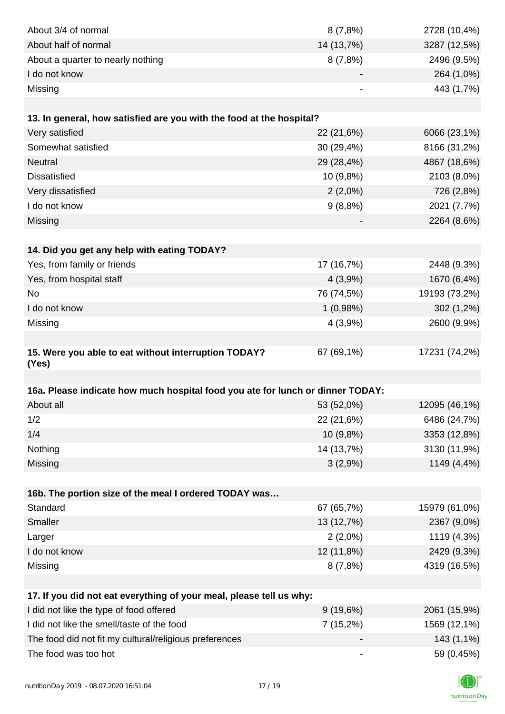| About 3/4 of normal                                                            | 8(7,8%)     | 2728 (10,4%)  |
|--------------------------------------------------------------------------------|-------------|---------------|
| About half of normal                                                           | 14 (13,7%)  | 3287 (12,5%)  |
| About a quarter to nearly nothing                                              | 8(7,8%)     | 2496 (9,5%)   |
| I do not know                                                                  |             | 264 (1,0%)    |
| Missing                                                                        |             | 443 (1,7%)    |
|                                                                                |             |               |
| 13. In general, how satisfied are you with the food at the hospital?           |             |               |
| Very satisfied                                                                 | 22 (21,6%)  | 6066 (23,1%)  |
| Somewhat satisfied                                                             | 30 (29,4%)  | 8166 (31,2%)  |
| <b>Neutral</b>                                                                 | 29 (28,4%)  | 4867 (18,6%)  |
| <b>Dissatisfied</b>                                                            | 10 (9,8%)   | 2103 (8,0%)   |
| Very dissatisfied                                                              | $2(2,0\%)$  | 726 (2,8%)    |
| I do not know                                                                  | 9(8,8%)     | 2021 (7,7%)   |
| Missing                                                                        |             | 2264 (8,6%)   |
|                                                                                |             |               |
| 14. Did you get any help with eating TODAY?                                    |             |               |
| Yes, from family or friends                                                    | 17 (16,7%)  | 2448 (9,3%)   |
| Yes, from hospital staff                                                       | 4(3,9%)     | 1670 (6,4%)   |
| <b>No</b>                                                                      | 76 (74,5%)  | 19193 (73,2%) |
| I do not know                                                                  | 1(0,98%)    | 302 (1,2%)    |
| Missing                                                                        | 4(3,9%)     | 2600 (9,9%)   |
|                                                                                |             |               |
| 15. Were you able to eat without interruption TODAY?                           | 67 (69,1%)  | 17231 (74,2%) |
| (Yes)                                                                          |             |               |
| 16a. Please indicate how much hospital food you ate for lunch or dinner TODAY: |             |               |
| About all                                                                      | 53 (52,0%)  | 12095 (46,1%) |
| 1/2                                                                            | 22 (21,6%)  | 6486 (24,7%)  |
| 1/4                                                                            | 10 (9,8%)   | 3353 (12,8%)  |
| Nothing                                                                        | 14 (13,7%)  | 3130 (11,9%)  |
| Missing                                                                        | 3(2,9%)     | 1149 (4,4%)   |
|                                                                                |             |               |
| 16b. The portion size of the meal I ordered TODAY was                          |             |               |
| Standard                                                                       | 67 (65,7%)  | 15979 (61,0%) |
| Smaller                                                                        | 13 (12,7%)  | 2367 (9,0%)   |
| Larger                                                                         | $2(2,0\%)$  | 1119 (4,3%)   |
| I do not know                                                                  | 12 (11,8%)  | 2429 (9,3%)   |
| Missing                                                                        | 8(7,8%)     | 4319 (16,5%)  |
|                                                                                |             |               |
| 17. If you did not eat everything of your meal, please tell us why:            |             |               |
| I did not like the type of food offered                                        | 9(19,6%)    | 2061 (15,9%)  |
| I did not like the smell/taste of the food                                     | $7(15,2\%)$ | 1569 (12,1%)  |
| The food did not fit my cultural/religious preferences                         |             | 143 (1,1%)    |
| The food was too hot                                                           |             | 59 (0,45%)    |

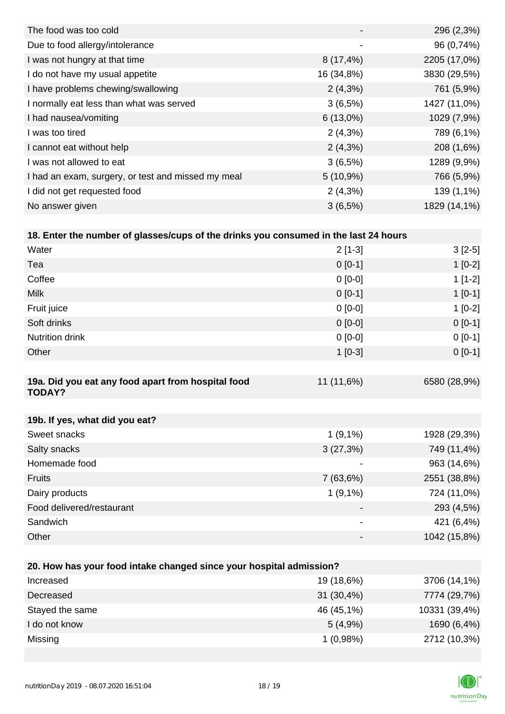|                          | 296 (2,3%)   |
|--------------------------|--------------|
| $\overline{\phantom{a}}$ | 96 (0,74%)   |
| $8(17, 4\%)$             | 2205 (17,0%) |
| 16 (34,8%)               | 3830 (29,5%) |
| $2(4,3\%)$               | 761 (5,9%)   |
| $3(6,5\%)$               | 1427 (11,0%) |
| $6(13,0\%)$              | 1029 (7,9%)  |
| $2(4,3\%)$               | 789 (6,1%)   |
| $2(4,3\%)$               | 208 (1,6%)   |
| 3(6,5%)                  | 1289 (9,9%)  |
| $5(10,9\%)$              | 766 (5,9%)   |
| $2(4,3\%)$               | 139 (1,1%)   |
| $3(6,5\%)$               | 1829 (14,1%) |
|                          |              |

| 18. Enter the number of glasses/cups of the drinks you consumed in the last 24 hours |            |              |
|--------------------------------------------------------------------------------------|------------|--------------|
| Water                                                                                | $2[1-3]$   | $3[2-5]$     |
| Tea                                                                                  | $0[0-1]$   | $1[0-2]$     |
| Coffee                                                                               | $0$ [0-0]  | $1[1-2]$     |
| <b>Milk</b>                                                                          | $0 [0-1]$  | $1[0-1]$     |
| Fruit juice                                                                          | $0$ [0-0]  | $1$ [0-2]    |
| Soft drinks                                                                          | $0 [0-0]$  | $0[0-1]$     |
| <b>Nutrition drink</b>                                                               | $0$ [0-0]  | $0[0-1]$     |
| Other                                                                                | $1$ [0-3]  | $0[0-1]$     |
|                                                                                      |            |              |
| 19a. Did you eat any food apart from hospital food<br><b>TODAY?</b>                  | 11 (11,6%) | 6580 (28,9%) |
|                                                                                      |            |              |
| 19b. If yes, what did you eat?                                                       |            |              |
| Sweet snacks                                                                         | $1(9,1\%)$ | 1928 (29,3%) |

| Salty snacks              | 3(27,3%)                 | 749 (11,4%)  |
|---------------------------|--------------------------|--------------|
| Homemade food             | $\overline{\phantom{a}}$ | 963 (14,6%)  |
| <b>Fruits</b>             | 7(63,6%)                 | 2551 (38,8%) |
| Dairy products            | $1(9,1\%)$               | 724 (11,0%)  |
| Food delivered/restaurant | $\qquad \qquad$          | 293 (4,5%)   |
| Sandwich                  | ۰                        | 421 (6,4%)   |
| Other                     | $\overline{\phantom{a}}$ | 1042 (15,8%) |

| 20. How has your food intake changed since your hospital admission? |              |               |  |  |
|---------------------------------------------------------------------|--------------|---------------|--|--|
| Increased                                                           | 19 (18,6%)   | 3706 (14,1%)  |  |  |
| Decreased                                                           | $31(30,4\%)$ | 7774 (29,7%)  |  |  |
| Stayed the same                                                     | 46 (45,1%)   | 10331 (39,4%) |  |  |
| I do not know                                                       | 5(4,9%)      | 1690 (6,4%)   |  |  |
| Missing                                                             | 1(0,98%)     | 2712 (10,3%)  |  |  |
|                                                                     |              |               |  |  |